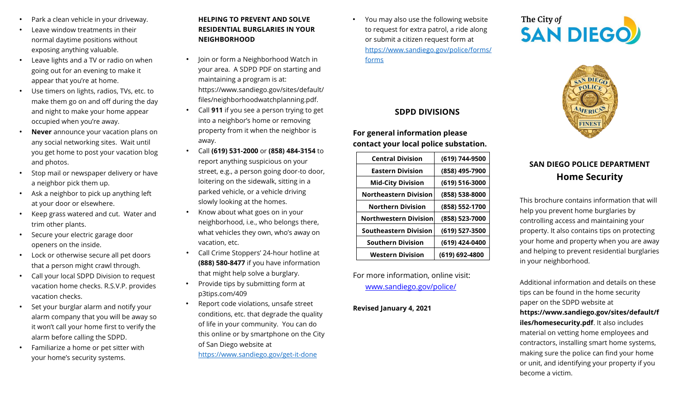- Park a clean vehicle in your driveway.
- Leave window treatments in their normal daytime positions without exposing anything valuable.
- Leave lights and a TV or radio on when going out for an evening to make it appear that you're at home.
- Use timers on lights, radios, TVs, etc. to make them go on and off during the day and night to make your home appear occupied when you're away.
- **Never** announce your vacation plans on any social networking sites. Wait until you get home to post your vacation blog and photos.
- Stop mail or newspaper delivery or have a neighbor pick them up.
- Ask a neighbor to pick up anything left at your door or elsewhere.
- Keep grass watered and cut. Water and trim other plants.
- Secure your electric garage door openers on the inside.
- Lock or otherwise secure all pet doors that a person might crawl through.
- Call your local SDPD Division to request vacation home checks. R.S.V.P. provides vacation checks.
- Set your burglar alarm and notify your alarm company that you will be away so it won't call your home first to verify the alarm before calling the SDPD.
- Familiarize a home or pet sitter with your home's security systems.

## **HELPING TO PREVENT AND SOLVE RESIDENTIAL BURGLARIES IN YOUR NEIGHBORHOOD**

- Join or form a Neighborhood Watch in your area. A SDPD PDF on starting and maintaining a program is at: https://www.sandiego.gov/sites/default/ files/neighborhoodwatchplanning.pd[f.](http://www.sandiego.gov/sites/%20default/%20files/%20neighborhoodwatchplanning.pdf)
- Call **911** if you see a person trying to get into a neighbor's home or removing property from it when the neighbor is away.
- Call **(619) 531-2000** or **(858) 484-3154** to report anything suspicious on your street, e.g., a person going door-to door, loitering on the sidewalk, sitting in a parked vehicle, or a vehicle driving slowly looking at the homes.
- Know about what goes on in your neighborhood, i.e., who belongs there, what vehicles they own, who's away on vacation, etc.
- Call Crime Stoppers' 24-hour hotline at **(888) 580-8477** if you have information that might help solve a burglary.
- Provide tips by submitting form at p3tips.com/409
- Report code violations, unsafe street conditions, etc. that degrade the quality of life in your community. You can do this online or by smartphone on the City of San Diego website at <https://www.sandiego.gov/get-it-done>

• You may also use the following website to request for extra patrol, a ride along or submit a citizen request form at [https://www.sandiego.gov/police/forms/](https://www.sandiego.gov/police/forms/forms) [forms](https://www.sandiego.gov/police/forms/forms)

### **SDPD DIVISIONS**

## **For general information please contact your local police substation.**

| <b>Central Division</b>      | (619) 744-9500 |
|------------------------------|----------------|
| <b>Eastern Division</b>      | (858) 495-7900 |
| <b>Mid-City Division</b>     | (619) 516-3000 |
| Northeastern Division        | (858) 538-8000 |
| <b>Northern Division</b>     | (858) 552-1700 |
| <b>Northwestern Division</b> | (858) 523-7000 |
| <b>Southeastern Division</b> | (619) 527-3500 |
| <b>Southern Division</b>     | (619) 424-0400 |
| <b>Western Division</b>      | (619) 692-4800 |

For more information, online visit: [www.sandiego.gov/police/](http://www.sandiego.gov/police/)

#### **Revised January 4, 2021**

# The City of<br>**SAN DIEGO**



# **SAN DIEGO POLICE DEPARTMENT Home Security**

This brochure contains information that will help you prevent home burglaries by controlling access and maintaining your property. It also contains tips on protecting your home and property when you are away and helping to prevent residential burglaries in your neighborhood.

Additional information and details on these tips can be found in the home security paper on the SDPD website at **https://www.sandiego.gov/sites/default/f iles/homesecurity.pdf**. It also includes material on vetting home employees and contractors, installing smart home systems, making sure the police can find your home or unit, and identifying your property if you become a victim.